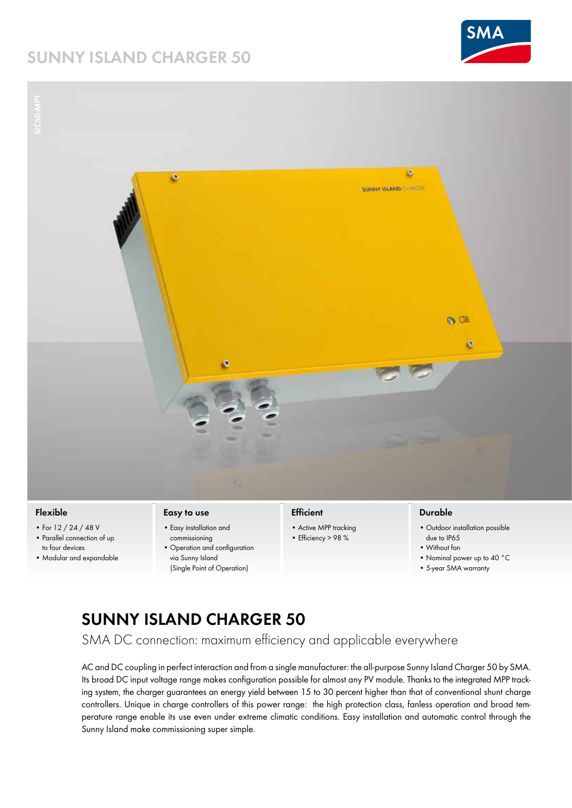# **Sunny ISLAND Charger 50**





### **Flexible**

- • For 12 / 24 / 48 V • Parallel connection of up
- to four devices • Modular and expandable

#### **Easy to use**

- • Easy installation and commissioning
- • Operation and configuration via Sunny Island (Single Point of Operation)

### **Efficient**

- Active MPP tracking
- Efficiency > 98 %

### **Durable**

- • Outdoor installation possible due to IP65
- • Without fan
- • Nominal power up to 40 °C
- • 5-year SMA warranty

## **Sunny Island Charger 50**

SMA DC connection: maximum efficiency and applicable everywhere

AC and DC coupling in perfect interaction and from a single manufacturer: the all-purpose Sunny Island Charger 50 by SMA. Its broad DC input voltage range makes configuration possible for almost any PV module. Thanks to the integrated MPP tracking system, the charger guarantees an energy yield between 15 to 30 percent higher than that of conventional shunt charge controllers. Unique in charge controllers of this power range: the high protection class, fanless operation and broad temperature range enable its use even under extreme climatic conditions. Easy installation and automatic control through the Sunny Island make commissioning super simple.